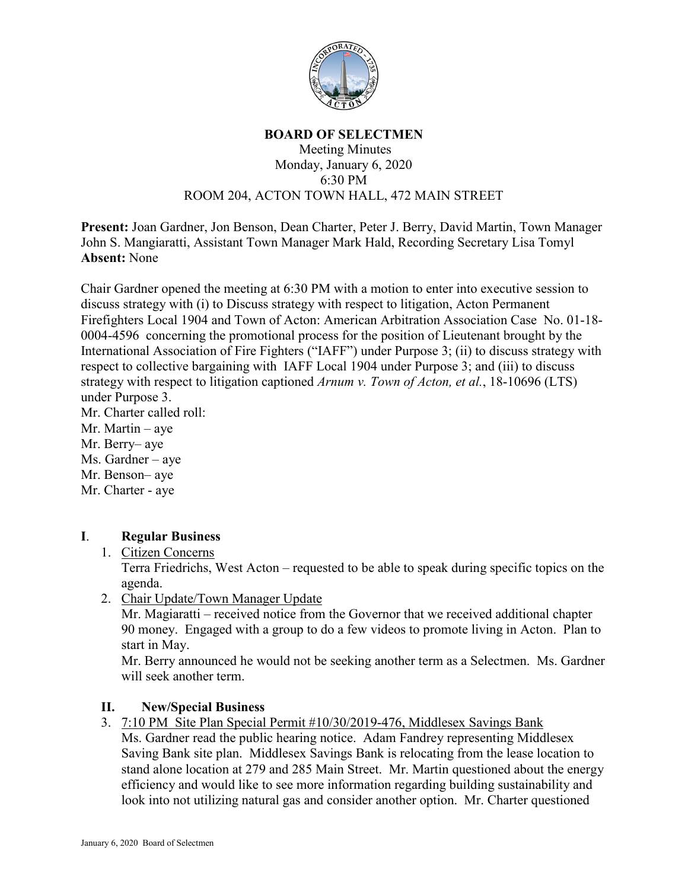

#### **BOARD OF SELECTMEN**

#### Meeting Minutes Monday, January 6, 2020 6:30 PM ROOM 204, ACTON TOWN HALL, 472 MAIN STREET

**Present:** Joan Gardner, Jon Benson, Dean Charter, Peter J. Berry, David Martin, Town Manager John S. Mangiaratti, Assistant Town Manager Mark Hald, Recording Secretary Lisa Tomyl **Absent:** None

Chair Gardner opened the meeting at 6:30 PM with a motion to enter into executive session to discuss strategy with (i) to Discuss strategy with respect to litigation, Acton Permanent Firefighters Local 1904 and Town of Acton: American Arbitration Association Case No. 01-18- 0004-4596 concerning the promotional process for the position of Lieutenant brought by the International Association of Fire Fighters ("IAFF") under Purpose 3; (ii) to discuss strategy with respect to collective bargaining with IAFF Local 1904 under Purpose 3; and (iii) to discuss strategy with respect to litigation captioned *Arnum v. Town of Acton, et al.*, 18-10696 (LTS) under Purpose 3.

Mr. Charter called roll:

Mr. Martin – aye

Mr. Berry– aye

Ms. Gardner – aye

Mr. Benson– aye Mr. Charter - aye

# **I**. **Regular Business**

## 1. Citizen Concerns

Terra Friedrichs, West Acton – requested to be able to speak during specific topics on the agenda.

2. Chair Update/Town Manager Update

Mr. Magiaratti – received notice from the Governor that we received additional chapter 90 money. Engaged with a group to do a few videos to promote living in Acton. Plan to start in May.

Mr. Berry announced he would not be seeking another term as a Selectmen. Ms. Gardner will seek another term.

## **II. New/Special Business**

3. 7:10 PM Site Plan Special Permit #10/30/2019-476, Middlesex Savings Bank

Ms. Gardner read the public hearing notice. Adam Fandrey representing Middlesex Saving Bank site plan. Middlesex Savings Bank is relocating from the lease location to stand alone location at 279 and 285 Main Street. Mr. Martin questioned about the energy efficiency and would like to see more information regarding building sustainability and look into not utilizing natural gas and consider another option. Mr. Charter questioned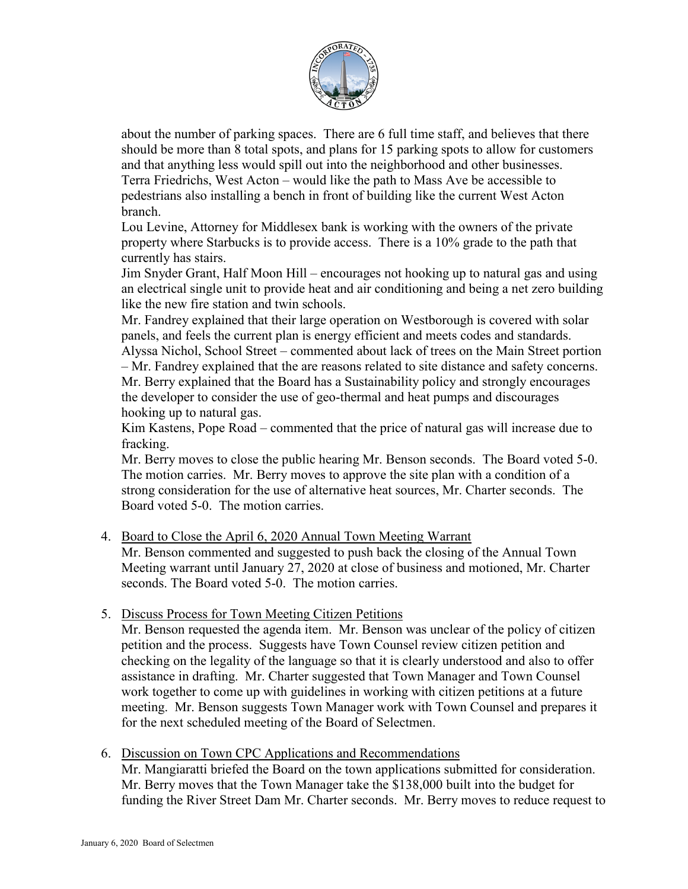

about the number of parking spaces. There are 6 full time staff, and believes that there should be more than 8 total spots, and plans for 15 parking spots to allow for customers and that anything less would spill out into the neighborhood and other businesses. Terra Friedrichs, West Acton – would like the path to Mass Ave be accessible to pedestrians also installing a bench in front of building like the current West Acton branch.

Lou Levine, Attorney for Middlesex bank is working with the owners of the private property where Starbucks is to provide access. There is a 10% grade to the path that currently has stairs.

Jim Snyder Grant, Half Moon Hill – encourages not hooking up to natural gas and using an electrical single unit to provide heat and air conditioning and being a net zero building like the new fire station and twin schools.

Mr. Fandrey explained that their large operation on Westborough is covered with solar panels, and feels the current plan is energy efficient and meets codes and standards. Alyssa Nichol, School Street – commented about lack of trees on the Main Street portion – Mr. Fandrey explained that the are reasons related to site distance and safety concerns. Mr. Berry explained that the Board has a Sustainability policy and strongly encourages the developer to consider the use of geo-thermal and heat pumps and discourages hooking up to natural gas.

Kim Kastens, Pope Road – commented that the price of natural gas will increase due to fracking.

Mr. Berry moves to close the public hearing Mr. Benson seconds. The Board voted 5-0. The motion carries. Mr. Berry moves to approve the site plan with a condition of a strong consideration for the use of alternative heat sources, Mr. Charter seconds. The Board voted 5-0. The motion carries.

### 4. Board to Close the April 6, 2020 Annual Town Meeting Warrant

Mr. Benson commented and suggested to push back the closing of the Annual Town Meeting warrant until January 27, 2020 at close of business and motioned, Mr. Charter seconds. The Board voted 5-0. The motion carries.

5. Discuss Process for Town Meeting Citizen Petitions

Mr. Benson requested the agenda item. Mr. Benson was unclear of the policy of citizen petition and the process. Suggests have Town Counsel review citizen petition and checking on the legality of the language so that it is clearly understood and also to offer assistance in drafting. Mr. Charter suggested that Town Manager and Town Counsel work together to come up with guidelines in working with citizen petitions at a future meeting. Mr. Benson suggests Town Manager work with Town Counsel and prepares it for the next scheduled meeting of the Board of Selectmen.

6. Discussion on Town CPC Applications and Recommendations

Mr. Mangiaratti briefed the Board on the town applications submitted for consideration. Mr. Berry moves that the Town Manager take the \$138,000 built into the budget for funding the River Street Dam Mr. Charter seconds. Mr. Berry moves to reduce request to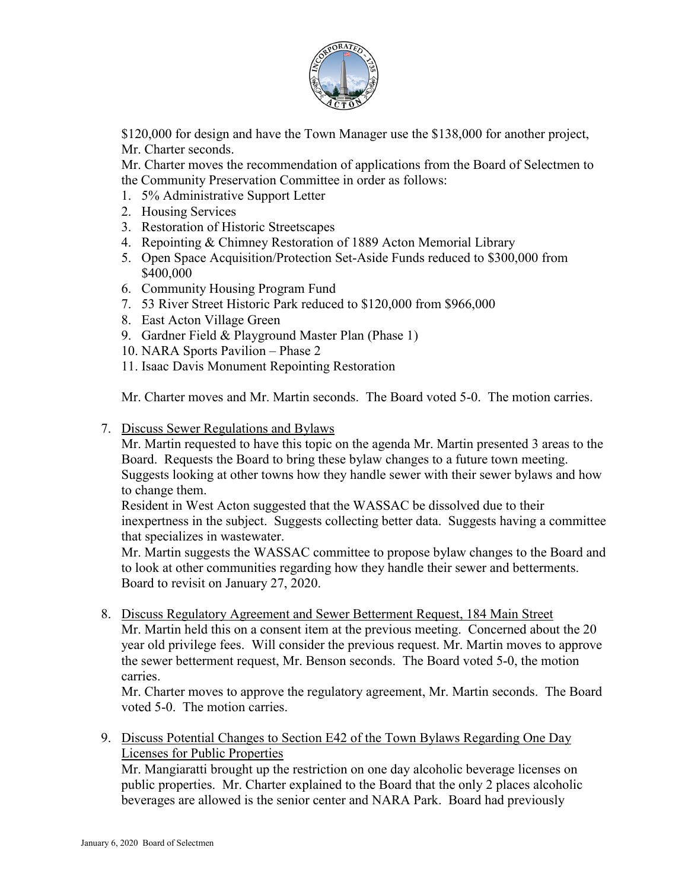

\$120,000 for design and have the Town Manager use the \$138,000 for another project, Mr. Charter seconds.

Mr. Charter moves the recommendation of applications from the Board of Selectmen to the Community Preservation Committee in order as follows:

- 1. 5% Administrative Support Letter
- 2. Housing Services
- 3. Restoration of Historic Streetscapes
- 4. Repointing & Chimney Restoration of 1889 Acton Memorial Library
- 5. Open Space Acquisition/Protection Set-Aside Funds reduced to \$300,000 from \$400,000
- 6. Community Housing Program Fund
- 7. 53 River Street Historic Park reduced to \$120,000 from \$966,000
- 8. East Acton Village Green
- 9. Gardner Field & Playground Master Plan (Phase 1)
- 10. NARA Sports Pavilion Phase 2
- 11. Isaac Davis Monument Repointing Restoration

Mr. Charter moves and Mr. Martin seconds. The Board voted 5-0. The motion carries.

7. Discuss Sewer Regulations and Bylaws

Mr. Martin requested to have this topic on the agenda Mr. Martin presented 3 areas to the Board. Requests the Board to bring these bylaw changes to a future town meeting. Suggests looking at other towns how they handle sewer with their sewer bylaws and how to change them.

Resident in West Acton suggested that the WASSAC be dissolved due to their inexpertness in the subject. Suggests collecting better data. Suggests having a committee that specializes in wastewater.

Mr. Martin suggests the WASSAC committee to propose bylaw changes to the Board and to look at other communities regarding how they handle their sewer and betterments. Board to revisit on January 27, 2020.

8. Discuss Regulatory Agreement and Sewer Betterment Request, 184 Main Street Mr. Martin held this on a consent item at the previous meeting. Concerned about the 20 year old privilege fees. Will consider the previous request. Mr. Martin moves to approve the sewer betterment request, Mr. Benson seconds. The Board voted 5-0, the motion carries.

Mr. Charter moves to approve the regulatory agreement, Mr. Martin seconds. The Board voted 5-0. The motion carries.

9. Discuss Potential Changes to Section E42 of the Town Bylaws Regarding One Day Licenses for Public Properties

Mr. Mangiaratti brought up the restriction on one day alcoholic beverage licenses on public properties. Mr. Charter explained to the Board that the only 2 places alcoholic beverages are allowed is the senior center and NARA Park. Board had previously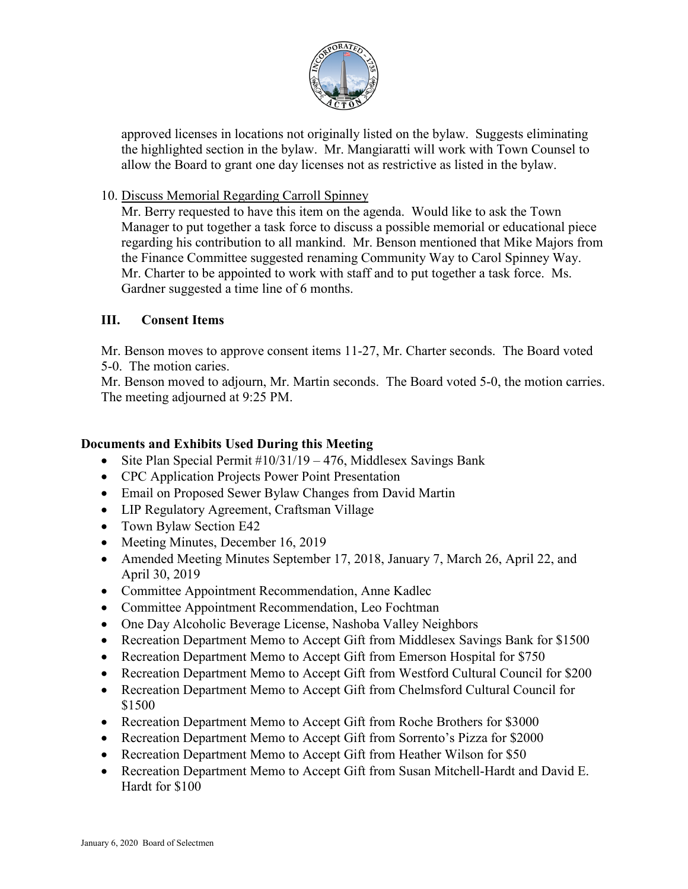

approved licenses in locations not originally listed on the bylaw. Suggests eliminating the highlighted section in the bylaw. Mr. Mangiaratti will work with Town Counsel to allow the Board to grant one day licenses not as restrictive as listed in the bylaw.

## 10. Discuss Memorial Regarding Carroll Spinney

Mr. Berry requested to have this item on the agenda. Would like to ask the Town Manager to put together a task force to discuss a possible memorial or educational piece regarding his contribution to all mankind. Mr. Benson mentioned that Mike Majors from the Finance Committee suggested renaming Community Way to Carol Spinney Way. Mr. Charter to be appointed to work with staff and to put together a task force. Ms. Gardner suggested a time line of 6 months.

## **III. Consent Items**

Mr. Benson moves to approve consent items 11-27, Mr. Charter seconds. The Board voted 5-0. The motion caries.

Mr. Benson moved to adjourn, Mr. Martin seconds. The Board voted 5-0, the motion carries. The meeting adjourned at 9:25 PM.

### **Documents and Exhibits Used During this Meeting**

- Site Plan Special Permit #10/31/19 476, Middlesex Savings Bank
- CPC Application Projects Power Point Presentation
- Email on Proposed Sewer Bylaw Changes from David Martin
- LIP Regulatory Agreement, Craftsman Village
- Town Bylaw Section E42
- Meeting Minutes, December 16, 2019
- Amended Meeting Minutes September 17, 2018, January 7, March 26, April 22, and April 30, 2019
- Committee Appointment Recommendation, Anne Kadlec
- Committee Appointment Recommendation, Leo Fochtman
- One Day Alcoholic Beverage License, Nashoba Valley Neighbors
- Recreation Department Memo to Accept Gift from Middlesex Savings Bank for \$1500
- Recreation Department Memo to Accept Gift from Emerson Hospital for \$750
- Recreation Department Memo to Accept Gift from Westford Cultural Council for \$200
- Recreation Department Memo to Accept Gift from Chelmsford Cultural Council for \$1500
- Recreation Department Memo to Accept Gift from Roche Brothers for \$3000
- Recreation Department Memo to Accept Gift from Sorrento's Pizza for \$2000
- Recreation Department Memo to Accept Gift from Heather Wilson for \$50
- Recreation Department Memo to Accept Gift from Susan Mitchell-Hardt and David E. Hardt for \$100